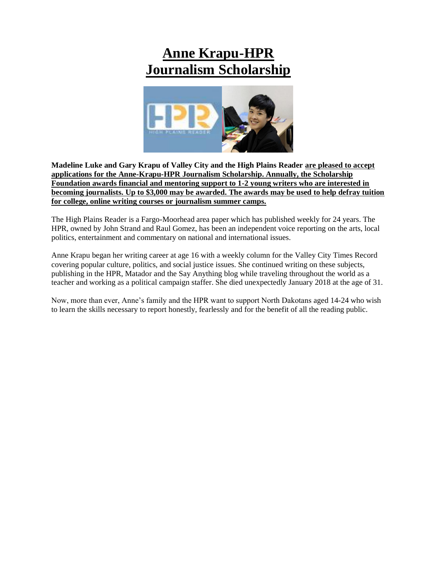# **Anne Krapu-HPR Journalism Scholarship**



**Madeline Luke and Gary Krapu of Valley City and the High Plains Reader are pleased to accept applications for the Anne-Krapu-HPR Journalism Scholarship. Annually, the Scholarship Foundation awards financial and mentoring support to 1-2 young writers who are interested in becoming journalists. Up to \$3,000 may be awarded. The awards may be used to help defray tuition for college, online writing courses or journalism summer camps.** 

The High Plains Reader is a Fargo-Moorhead area paper which has published weekly for 24 years. The HPR, owned by John Strand and Raul Gomez, has been an independent voice reporting on the arts, local politics, entertainment and commentary on national and international issues.

Anne Krapu began her writing career at age 16 with a weekly column for the Valley City Times Record covering popular culture, politics, and social justice issues. She continued writing on these subjects, publishing in the HPR, Matador and the Say Anything blog while traveling throughout the world as a teacher and working as a political campaign staffer. She died unexpectedly January 2018 at the age of 31.

Now, more than ever, Anne's family and the HPR want to support North Dakotans aged 14-24 who wish to learn the skills necessary to report honestly, fearlessly and for the benefit of all the reading public.